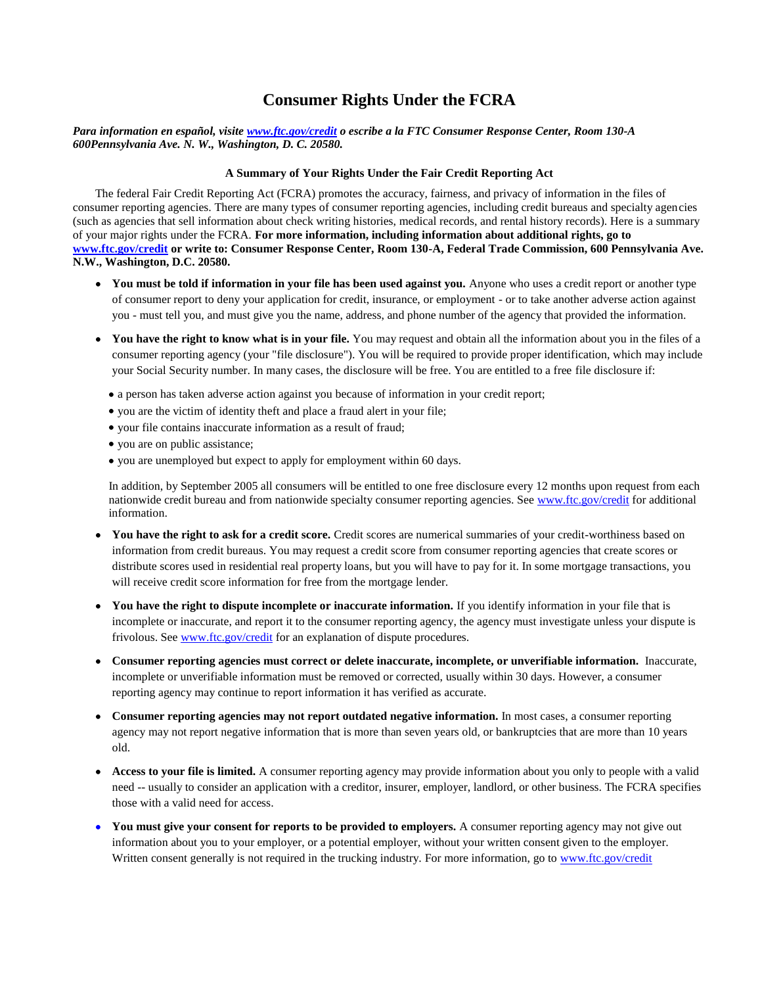## **Consumer Rights Under the FCRA**

## *Para information en español, visite [www.ftc.gov/credit](http://www.ftc.gov/credit) o escribe a la FTC Consumer Response Center, Room 130-A 600Pennsylvania Ave. N. W., Washington, D. C. 20580.*

## **A Summary of Your Rights Under the Fair Credit Reporting Act**

The federal Fair Credit Reporting Act (FCRA) promotes the accuracy, fairness, and privacy of information in the files of consumer reporting agencies. There are many types of consumer reporting agencies, including credit bureaus and specialty agencies (such as agencies that sell information about check writing histories, medical records, and rental history records). Here is a summary of your major rights under the FCRA. **For more information, including information about additional rights, go to [www.ftc.gov/credit](http://www.ftc.gov/credit) or write to: Consumer Response Center, Room 130-A, Federal Trade Commission, 600 Pennsylvania Ave. N.W., Washington, D.C. 20580.** 

- You must be told if information in your file has been used against you. Anyone who uses a credit report or another type of consumer report to deny your application for credit, insurance, or employment - or to take another adverse action against you - must tell you, and must give you the name, address, and phone number of the agency that provided the information.
- **You have the right to know what is in your file.** You may request and obtain all the information about you in the files of a consumer reporting agency (your "file disclosure"). You will be required to provide proper identification, which may include your Social Security number. In many cases, the disclosure will be free. You are entitled to a free file disclosure if:
	- a person has taken adverse action against you because of information in your credit report;
	- you are the victim of identity theft and place a fraud alert in your file;
	- your file contains inaccurate information as a result of fraud;
	- you are on public assistance;
	- you are unemployed but expect to apply for employment within 60 days.

In addition, by September 2005 all consumers will be entitled to one free disclosure every 12 months upon request from each nationwide credit bureau and from nationwide specialty consumer reporting agencies. See [www.ftc.gov/credit](http://www.ftc.gov/credit) for additional information.

- **You have the right to ask for a credit score.** Credit scores are numerical summaries of your credit-worthiness based on information from credit bureaus. You may request a credit score from consumer reporting agencies that create scores or distribute scores used in residential real property loans, but you will have to pay for it. In some mortgage transactions, you will receive credit score information for free from the mortgage lender.
- You have the right to dispute incomplete or inaccurate information. If you identify information in your file that is incomplete or inaccurate, and report it to the consumer reporting agency, the agency must investigate unless your dispute is frivolous. See [www.ftc.gov/credit](http://www.ftc.gov/credit) for an explanation of dispute procedures.
- **Consumer reporting agencies must correct or delete inaccurate, incomplete, or unverifiable information.** Inaccurate, incomplete or unverifiable information must be removed or corrected, usually within 30 days. However, a consumer reporting agency may continue to report information it has verified as accurate.
- **Consumer reporting agencies may not report outdated negative information.** In most cases, a consumer reporting agency may not report negative information that is more than seven years old, or bankruptcies that are more than 10 years old.
- **Access to your file is limited.** A consumer reporting agency may provide information about you only to people with a valid need -- usually to consider an application with a creditor, insurer, employer, landlord, or other business. The FCRA specifies those with a valid need for access.
- **You must give your consent for reports to be provided to employers.** A consumer reporting agency may not give out information about you to your employer, or a potential employer, without your written consent given to the employer. Written consent generally is not required in the trucking industry. For more information, go to www.ftc.gov/credit